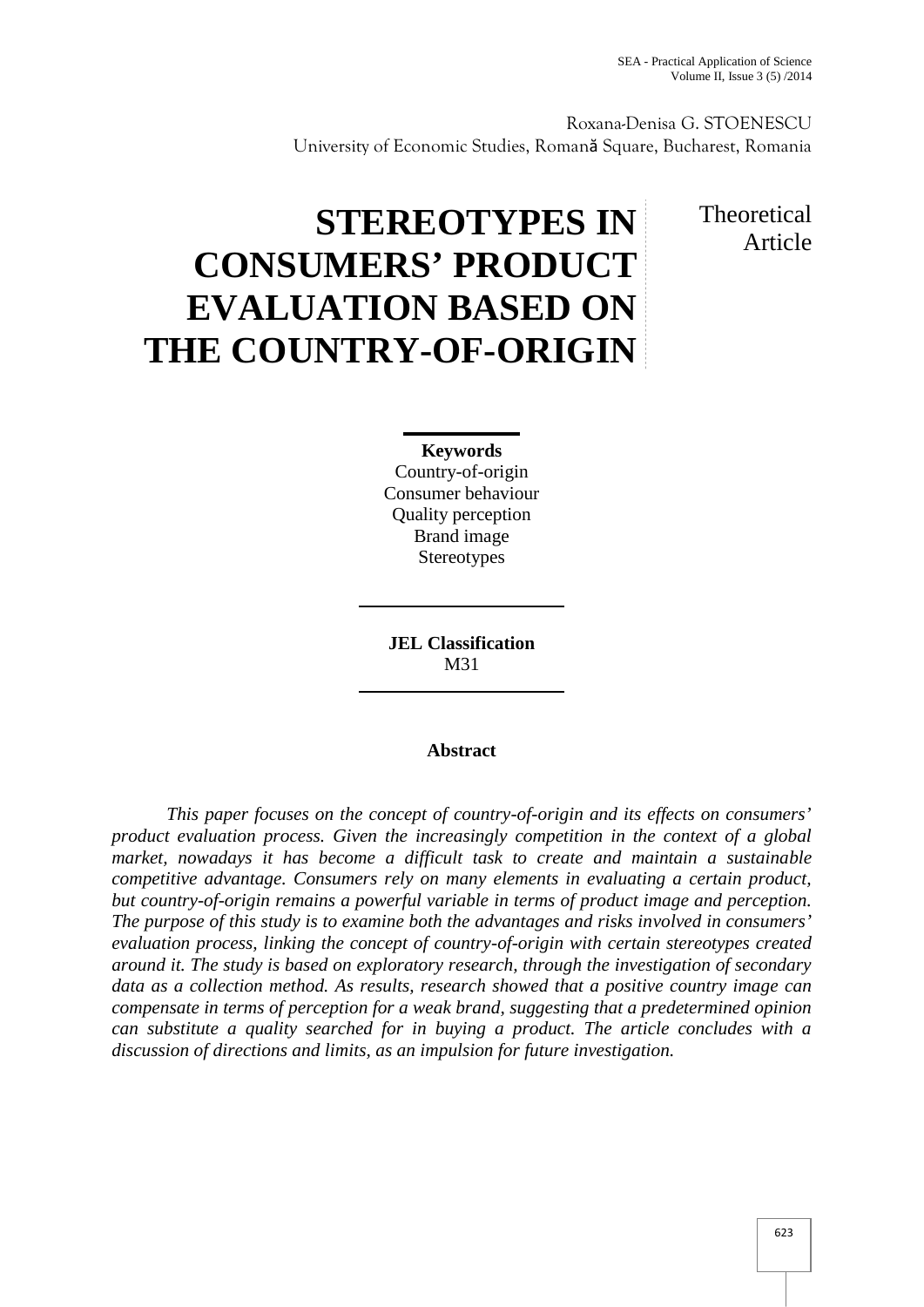Roxana-Denisa G. STOENESCU University of Economic Studies, Romană Square, Bucharest, Romania

# **STEREOTYPES IN CONSUMERS' PRODUCT EVALUATION BASED ON THE COUNTRY-OF-ORIGIN**

## **Theoretical** Article

### **Keywords**

Country-of-origin Consumer behaviour Quality perception Brand image **Stereotypes** 

**JEL Classification** M31

#### **Abstract**

*This paper focuses on the concept of country-of-origin and its effects on consumers' product evaluation process. Given the increasingly competition in the context of a global market, nowadays it has become a difficult task to create and maintain a sustainable competitive advantage. Consumers rely on many elements in evaluating a certain product, but country-of-origin remains a powerful variable in terms of product image and perception. The purpose of this study is to examine both the advantages and risks involved in consumers' evaluation process, linking the concept of country-of-origin with certain stereotypes created around it. The study is based on exploratory research, through the investigation of secondary data as a collection method. As results, research showed that a positive country image can compensate in terms of perception for a weak brand, suggesting that a predetermined opinion can substitute a quality searched for in buying a product. The article concludes with a discussion of directions and limits, as an impulsion for future investigation.*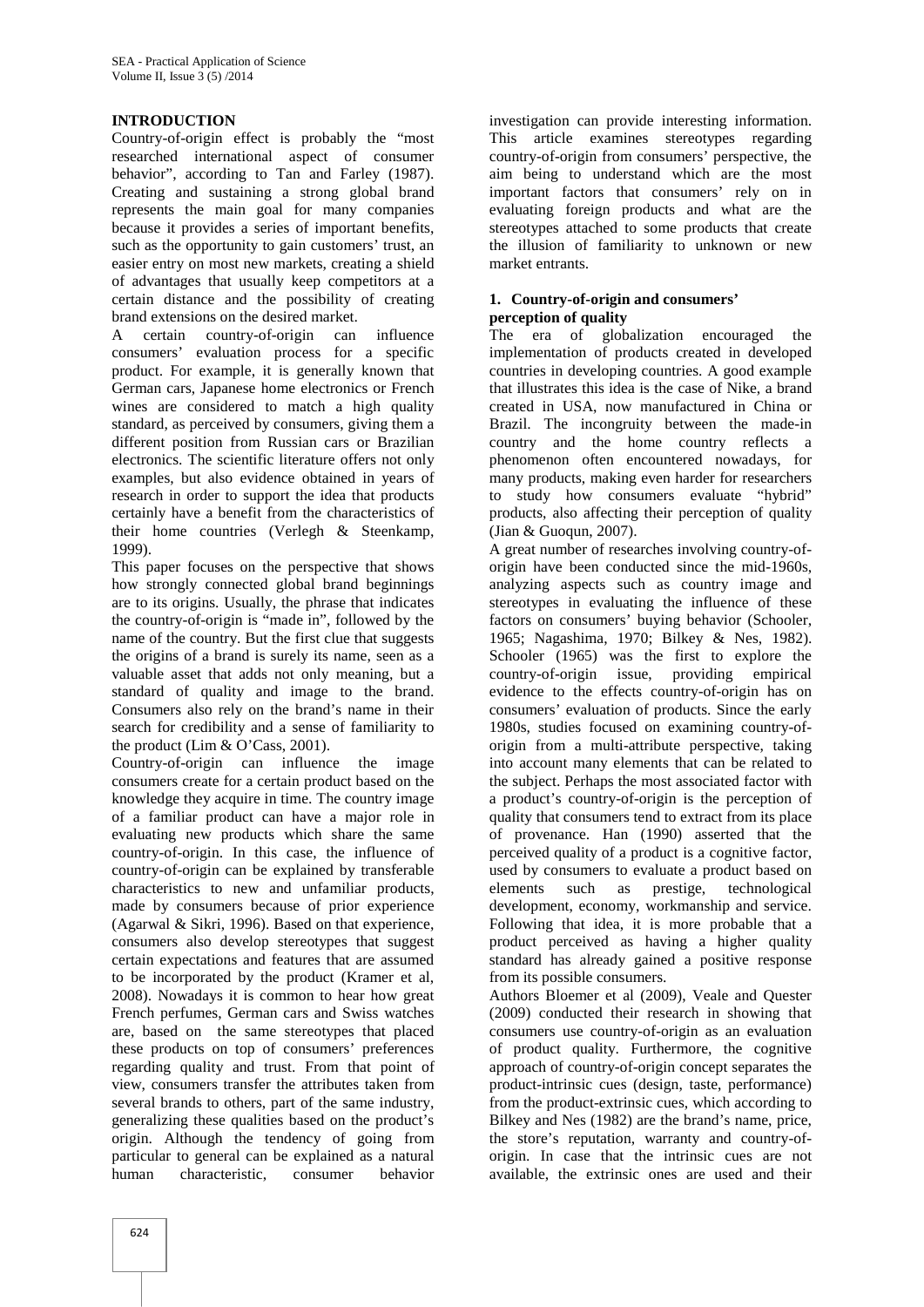#### **INTRODUCTION**

Country-of-origin effect is probably the "most researched international aspect of consumer behavior", according to Tan and Farley (1987). Creating and sustaining a strong global brand represents the main goal for many companies because it provides a series of important benefits, such as the opportunity to gain customers' trust, an easier entry on most new markets, creating a shield of advantages that usually keep competitors at a certain distance and the possibility of creating brand extensions on the desired market.

A certain country-of-origin can influence consumers' evaluation process for a specific product. For example, it is generally known that German cars, Japanese home electronics or French wines are considered to match a high quality standard, as perceived by consumers, giving them a different position from Russian cars or Brazilian electronics. The scientific literature offers not only examples, but also evidence obtained in years of research in order to support the idea that products certainly have a benefit from the characteristics of their home countries (Verlegh & Steenkamp, 1999).

This paper focuses on the perspective that shows how strongly connected global brand beginnings are to its origins. Usually, the phrase that indicates the country-of-origin is "made in", followed by the name of the country. But the first clue that suggests the origins of a brand is surely its name, seen as a valuable asset that adds not only meaning, but a standard of quality and image to the brand. Consumers also rely on the brand's name in their search for credibility and a sense of familiarity to the product (Lim & O'Cass, 2001).

Country-of-origin can influence the image consumers create for a certain product based on the knowledge they acquire in time. The country image of a familiar product can have a major role in evaluating new products which share the same country-of-origin. In this case, the influence of country-of-origin can be explained by transferable characteristics to new and unfamiliar products, made by consumers because of prior experience (Agarwal & Sikri, 1996). Based on that experience, consumers also develop stereotypes that suggest certain expectations and features that are assumed to be incorporated by the product (Kramer et al, 2008). Nowadays it is common to hear how great French perfumes, German cars and Swiss watches are, based on the same stereotypes that placed these products on top of consumers' preferences regarding quality and trust. From that point of view, consumers transfer the attributes taken from several brands to others, part of the same industry, generalizing these qualities based on the product's origin. Although the tendency of going from particular to general can be explained as a natural human characteristic, consumer behavior

investigation can provide interesting information. This article examines stereotypes regarding country-of-origin from consumers' perspective, the aim being to understand which are the most important factors that consumers' rely on in evaluating foreign products and what are the stereotypes attached to some products that create the illusion of familiarity to unknown or new market entrants.

#### **1. Country-of-origin and consumers' perception of quality**

The era of globalization encouraged the implementation of products created in developed countries in developing countries. A good example that illustrates this idea is the case of Nike, a brand created in USA, now manufactured in China or Brazil. The incongruity between the made-in country and the home country reflects a phenomenon often encountered nowadays, for many products, making even harder for researchers to study how consumers evaluate "hybrid" products, also affecting their perception of quality (Jian & Guoqun, 2007).

A great number of researches involving country-of origin have been conducted since the mid-1960s, analyzing aspects such as country image and stereotypes in evaluating the influence of these factors on consumers' buying behavior (Schooler, 1965; Nagashima, 1970; Bilkey & Nes, 1982). Schooler (1965) was the first to explore the country-of-origin issue, providing empirical evidence to the effects country-of-origin has on consumers' evaluation of products. Since the early 1980s, studies focused on examining country-of origin from a multi-attribute perspective, taking into account many elements that can be related to the subject. Perhaps the most associated factor with a product's country-of-origin is the perception of quality that consumers tend to extract from its place of provenance. Han (1990) asserted that the perceived quality of a product is a cognitive factor, used by consumers to evaluate a product based on elements such as prestige, technological development, economy, workmanship and service. Following that idea, it is more probable that a product perceived as having a higher quality standard has already gained a positive response from its possible consumers.

Authors Bloemer et al (2009), Veale and Quester (2009) conducted their research in showing that consumers use country-of-origin as an evaluation of product quality. Furthermore, the cognitive approach of country-of-origin concept separates the product-intrinsic cues (design, taste, performance) from the product-extrinsic cues, which according to Bilkey and Nes (1982) are the brand's name, price, the store's reputation, warranty and country-of origin. In case that the intrinsic cues are not available, the extrinsic ones are used and their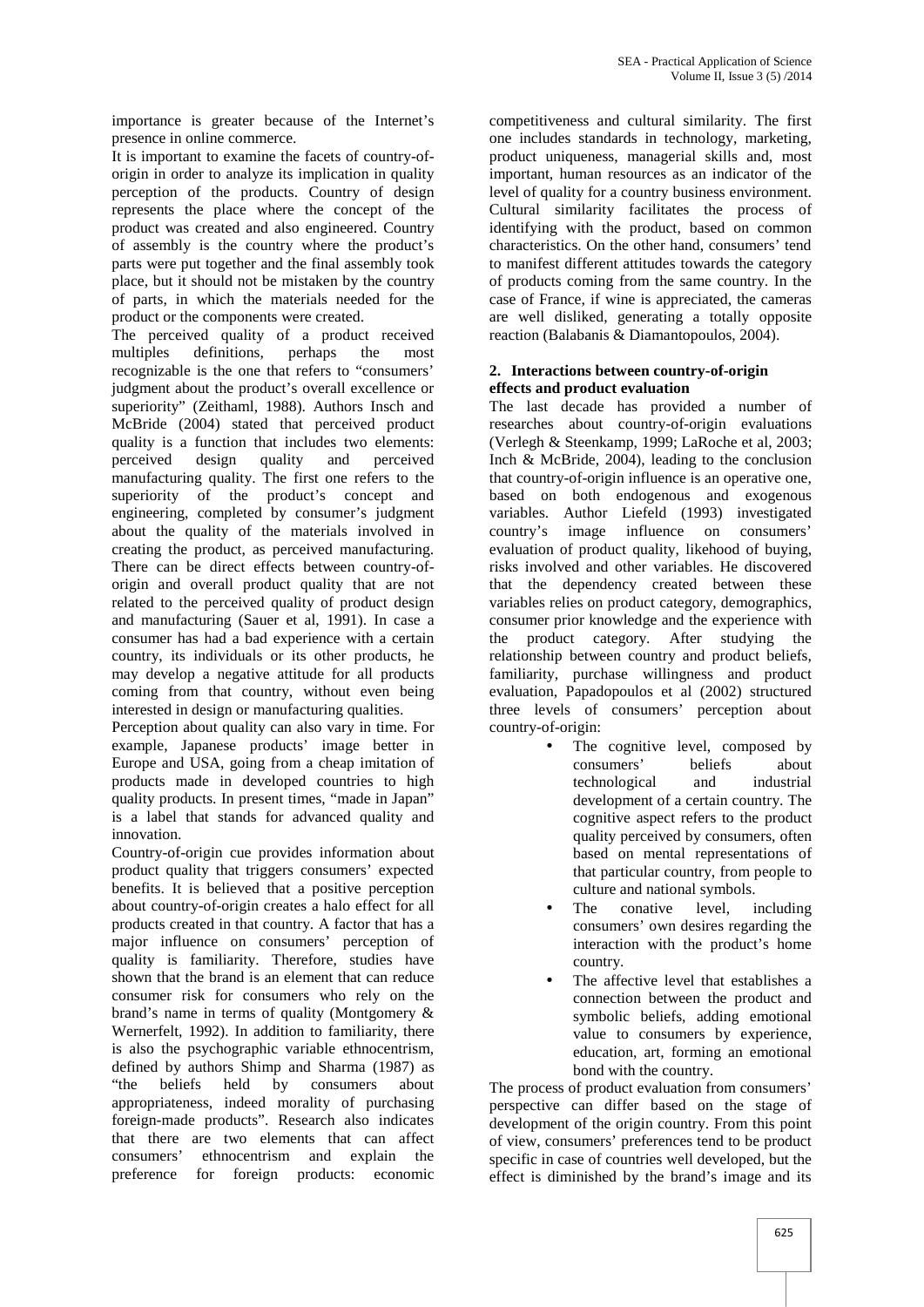importance is greater because of the Internet's presence in online commerce.

It is important to examine the facets of country-of origin in order to analyze its implication in quality perception of the products. Country of design represents the place where the concept of the product was created and also engineered. Country of assembly is the country where the product's parts were put together and the final assembly took place, but it should not be mistaken by the country of parts, in which the materials needed for the product or the components were created.

The perceived quality of a product received multiples definitions, perhaps the most recognizable is the one that refers to "consumers' judgment about the product's overall excellence or superiority" (Zeithaml, 1988). Authors Insch and McBride (2004) stated that perceived product quality is a function that includes two elements: perceived design quality and perceived manufacturing quality. The first one refers to the superiority of the product's concept and engineering, completed by consumer's judgment about the quality of the materials involved in creating the product, as perceived manufacturing. There can be direct effects between country-of origin and overall product quality that are not related to the perceived quality of product design and manufacturing (Sauer et al, 1991). In case a consumer has had a bad experience with a certain country, its individuals or its other products, he may develop a negative attitude for all products coming from that country, without even being interested in design or manufacturing qualities.

Perception about quality can also vary in time. For example, Japanese products' image better in Europe and USA, going from a cheap imitation of products made in developed countries to high quality products. In present times, "made in Japan" is a label that stands for advanced quality and innovation.

Country-of-origin cue provides information about product quality that triggers consumers' expected benefits. It is believed that a positive perception about country-of-origin creates a halo effect for all products created in that country. A factor that has a major influence on consumers' perception of quality is familiarity. Therefore, studies have shown that the brand is an element that can reduce consumer risk for consumers who rely on the brand's name in terms of quality (Montgomery & Wernerfelt, 1992). In addition to familiarity, there is also the psychographic variable ethnocentrism, defined by authors Shimp and Sharma (1987) as "the beliefs held by consumers about appropriateness, indeed morality of purchasing foreign-made products". Research also indicates that there are two elements that can affect consumers' ethnocentrism and explain the preference for foreign products: economic

competitiveness and cultural similarity. The first one includes standards in technology, marketing, product uniqueness, managerial skills and, most important, human resources as an indicator of the level of quality for a country business environment. Cultural similarity facilitates the process of identifying with the product, based on common characteristics. On the other hand, consumers' tend to manifest different attitudes towards the category of products coming from the same country. In the case of France, if wine is appreciated, the cameras are well disliked, generating a totally opposite reaction (Balabanis & Diamantopoulos, 2004).

#### **2. Interactions between country-of-origin effects and product evaluation**

The last decade has provided a number of researches about country-of-origin evaluations (Verlegh & Steenkamp, 1999; LaRoche et al, 2003; Inch & McBride, 2004), leading to the conclusion that country-of-origin influence is an operative one, based on both endogenous and exogenous variables. Author Liefeld (1993) investigated image influence on consumers' evaluation of product quality, likehood of buying, risks involved and other variables. He discovered that the dependency created between these variables relies on product category, demographics, consumer prior knowledge and the experience with product category. After studying the relationship between country and product beliefs, familiarity, purchase willingness and product evaluation, Papadopoulos et al (2002) structured three levels of consumers' perception about country-of-origin:

- The cognitive level, composed by consumers' beliefs about technological and industrial development of a certain country. The cognitive aspect refers to the product quality perceived by consumers, often based on mental representations of that particular country, from people to culture and national symbols.
	- The conative level, including consumers' own desires regarding the interaction with the product's home country.
- The affective level that establishes a connection between the product and symbolic beliefs, adding emotional value to consumers by experience, education, art, forming an emotional bond with the country.

The process of product evaluation from consumers' perspective can differ based on the stage of development of the origin country. From this point of view, consumers' preferences tend to be product specific in case of countries well developed, but the effect is diminished by the brand's image and its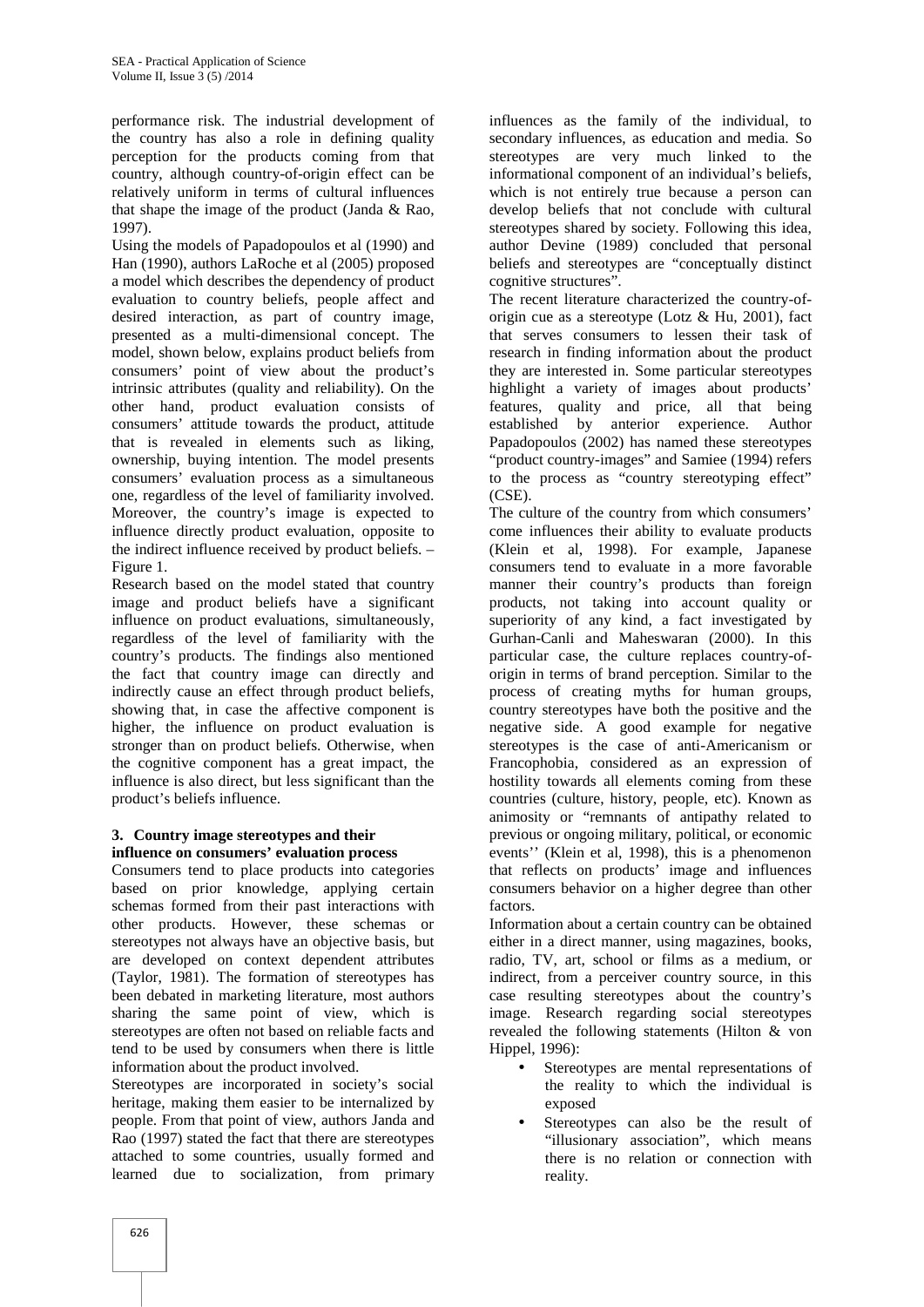performance risk. The industrial development of the country has also a role in defining quality perception for the products coming from that country, although country-of-origin effect can be relatively uniform in terms of cultural influences that shape the image of the product (Janda & Rao, 1997).

Using the models of Papadopoulos et al (1990) and Han (1990), authors LaRoche et al (2005) proposed a model which describes the dependency of product evaluation to country beliefs, people affect and desired interaction, as part of country image, presented as a multi-dimensional concept. The model, shown below, explains product beliefs from consumers' point of view about the product's intrinsic attributes (quality and reliability). On the other hand, product evaluation consists of consumers' attitude towards the product, attitude that is revealed in elements such as liking, ownership, buying intention. The model presents consumers' evaluation process as a simultaneous one, regardless of the level of familiarity involved. Moreover, the country's image is expected to influence directly product evaluation, opposite to the indirect influence received by product beliefs. – Figure 1.

Research based on the model stated that country image and product beliefs have a significant influence on product evaluations, simultaneously, regardless of the level of familiarity with the country's products. The findings also mentioned the fact that country image can directly and indirectly cause an effect through product beliefs, showing that, in case the affective component is higher, the influence on product evaluation is stronger than on product beliefs. Otherwise, when the cognitive component has a great impact, the influence is also direct, but less significant than the product's beliefs influence.

#### **3. Country image stereotypes and their influence on consumers' evaluation process**

Consumers tend to place products into categories based on prior knowledge, applying certain schemas formed from their past interactions with other products. However, these schemas or stereotypes not always have an objective basis, but are developed on context dependent attributes (Taylor, 1981). The formation of stereotypes has been debated in marketing literature, most authors sharing the same point of view, which is stereotypes are often not based on reliable facts and tend to be used by consumers when there is little information about the product involved.

Stereotypes are incorporated in society's social heritage, making them easier to be internalized by people. From that point of view, authors Janda and Rao (1997) stated the fact that there are stereotypes attached to some countries, usually formed and learned due to socialization, from primary

influences as the family of the individual, to secondary influences, as education and media. So stereotypes are very much linked to the informational component of an individual's beliefs, which is not entirely true because a person can develop beliefs that not conclude with cultural stereotypes shared by society. Following this idea, author Devine (1989) concluded that personal beliefs and stereotypes are "conceptually distinct cognitive structures".

The recent literature characterized the country-of origin cue as a stereotype (Lotz  $& Hu, 2001$ ), fact that serves consumers to lessen their task of research in finding information about the product they are interested in. Some particular stereotypes highlight a variety of images about products' features, quality and price, all that being established by anterior experience. Author Papadopoulos (2002) has named these stereotypes "product country-images" and Samiee (1994) refers to the process as "country stereotyping effect" (CSE).

The culture of the country from which consumers' come influences their ability to evaluate products (Klein et al, 1998). For example, Japanese consumers tend to evaluate in a more favorable manner their country's products than foreign products, not taking into account quality or superiority of any kind, a fact investigated by Gurhan-Canli and Maheswaran (2000). In this particular case, the culture replaces country-of origin in terms of brand perception. Similar to the process of creating myths for human groups, country stereotypes have both the positive and the negative side. A good example for negative stereotypes is the case of anti-Americanism or Francophobia, considered as an expression of hostility towards all elements coming from these countries (culture, history, people, etc). Known as animosity or "remnants of antipathy related to previous or ongoing military, political, or economic events'' (Klein et al, 1998), this is a phenomenon that reflects on products' image and influences consumers behavior on a higher degree than other factors.

Information about a certain country can be obtained either in a direct manner, using magazines, books, radio, TV, art, school or films as a medium, or indirect, from a perceiver country source, in this case resulting stereotypes about the country's image. Research regarding social stereotypes revealed the following statements (Hilton & von Hippel, 1996):

- Stereotypes are mental representations of the reality to which the individual is exposed
- Stereotypes can also be the result of "illusionary association", which means there is no relation or connection with reality.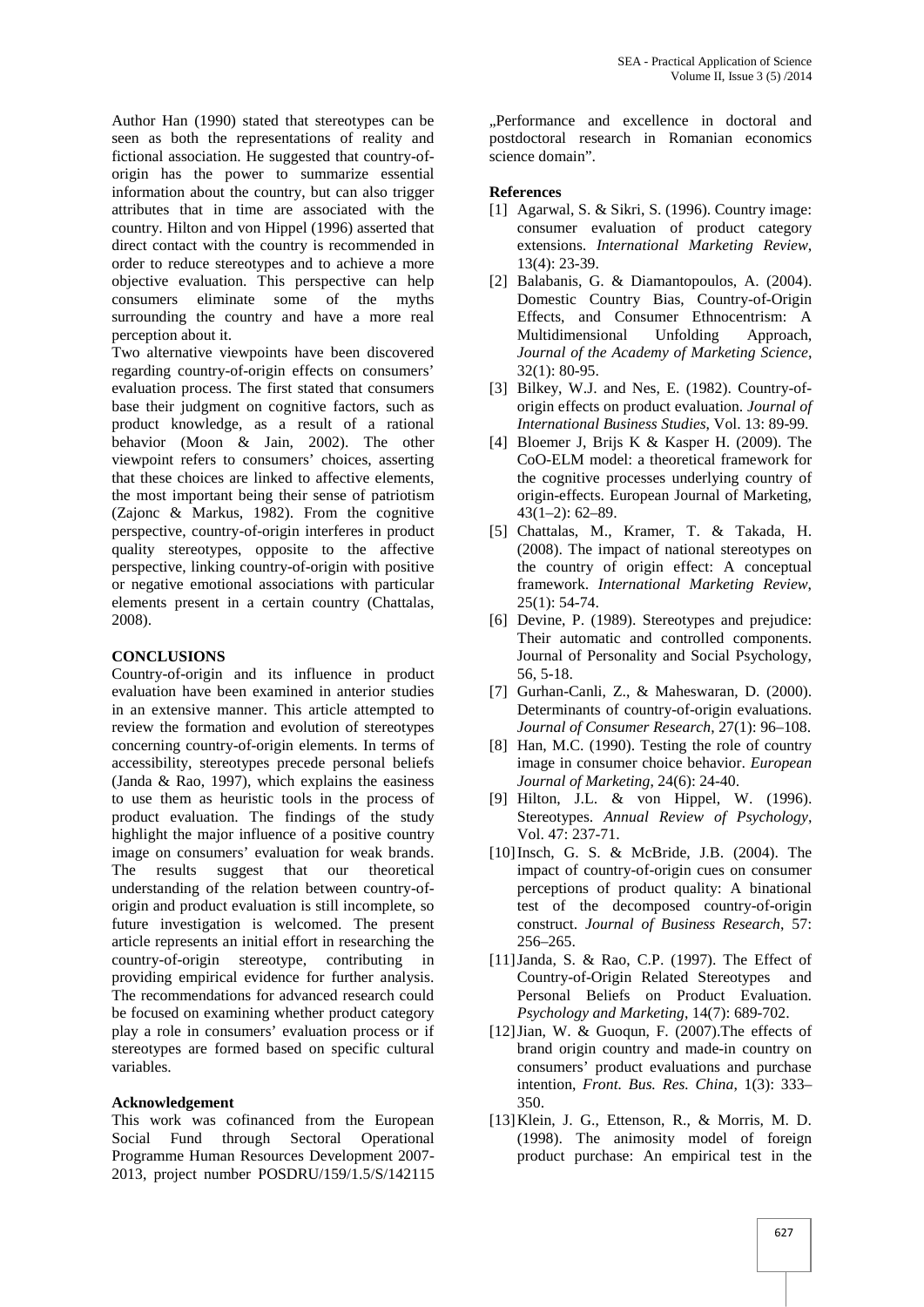Author Han (1990) stated that stereotypes can be seen as both the representations of reality and fictional association. He suggested that country-of origin has the power to summarize essential information about the country, but can also trigger attributes that in time are associated with the country. Hilton and von Hippel (1996) asserted that direct contact with the country is recommended in order to reduce stereotypes and to achieve a more objective evaluation. This perspective can help consumers eliminate some of the myths surrounding the country and have a more real perception about it.

Two alternative viewpoints have been discovered regarding country-of-origin effects on consumers' evaluation process. The first stated that consumers base their judgment on cognitive factors, such as product knowledge, as a result of a rational behavior (Moon & Jain, 2002). The other viewpoint refers to consumers' choices, asserting that these choices are linked to affective elements, the most important being their sense of patriotism (Zajonc & Markus, 1982). From the cognitive perspective, country-of-origin interferes in product quality stereotypes, opposite to the affective perspective, linking country-of-origin with positive or negative emotional associations with particular elements present in a certain country (Chattalas, 2008).

#### **CONCLUSIONS**

Country-of-origin and its influence in product evaluation have been examined in anterior studies in an extensive manner. This article attempted to review the formation and evolution of stereotypes concerning country-of-origin elements. In terms of accessibility, stereotypes precede personal beliefs (Janda & Rao, 1997), which explains the easiness to use them as heuristic tools in the process of product evaluation. The findings of the study highlight the major influence of a positive country image on consumers' evaluation for weak brands. The results suggest that our theoretical understanding of the relation between country-of origin and product evaluation is still incomplete, so future investigation is welcomed. The present article represents an initial effort in researching the country-of-origin stereotype, contributing in providing empirical evidence for further analysis. The recommendations for advanced research could be focused on examining whether product category play a role in consumers' evaluation process or if stereotypes are formed based on specific cultural variables.

#### **Acknowledgement**

This work was cofinanced from the European Social Fund through Sectoral Operational Programme Human Resources Development 2007- 2013, project number POSDRU/159/1.5/S/142115

"Performance and excellence in doctoral and postdoctoral research in Romanian economics science domain".

#### **References**

- [1] Agarwal, S. & Sikri, S. (1996). Country image: consumer evaluation of product category extensions. *International Marketing Review*, 13(4): 23-39.
- [2] Balabanis, G. & Diamantopoulos, A. (2004). Domestic Country Bias, Country-of-Origin Effects, and Consumer Ethnocentrism: A Multidimensional Unfolding Approach, *Journal of the Academy of Marketing Science*, 32(1): 80-95.
- [3] Bilkey, W.J. and Nes, E. (1982). Country-oforigin effects on product evaluation. *Journal of International Business Studies*, Vol. 13: 89-99.
- [4] Bloemer J, Brijs K & Kasper H. (2009). The CoO-ELM model: a theoretical framework for the cognitive processes underlying country of origin-effects. European Journal of Marketing, 43(1–2): 62–89.
- [5] Chattalas, M., Kramer, T. & Takada, H. (2008). The impact of national stereotypes on the country of origin effect: A conceptual framework. *International Marketing Review*, 25(1): 54-74.
- [6] Devine, P. (1989). Stereotypes and prejudice: Their automatic and controlled components. Journal of Personality and Social Psychology, 56, 5-18.
- [7] Gurhan-Canli, Z., & Maheswaran, D. (2000). Determinants of country-of-origin evaluations. *Journal of Consumer Research*, 27(1): 96–108.
- [8] Han, M.C. (1990). Testing the role of country image in consumer choice behavior. *European Journal of Marketing*, 24(6): 24-40.
- [9] Hilton, J.L. & von Hippel, W. (1996). Stereotypes. *Annual Review of Psychology*, Vol. 47: 237-71.
- [10]Insch, G. S. & McBride, J.B. (2004). The impact of country-of-origin cues on consumer perceptions of product quality: A binational test of the decomposed country-of-origin construct. *Journal of Business Research*, 57: 256–265.
- [11]Janda, S. & Rao, C.P. (1997). The Effect of Country-of-Origin Related Stereotypes and Personal Beliefs on Product Evaluation. *Psychology and Marketing*, 14(7): 689-702.
- [12]Jian, W. & Guoqun, F. (2007).The effects of brand origin country and made-in country on consumers' product evaluations and purchase intention, *Front. Bus. Res. China*, 1(3): 333– 350.
- [13]Klein, J. G., Ettenson, R., & Morris, M. D. (1998). The animosity model of foreign product purchase: An empirical test in the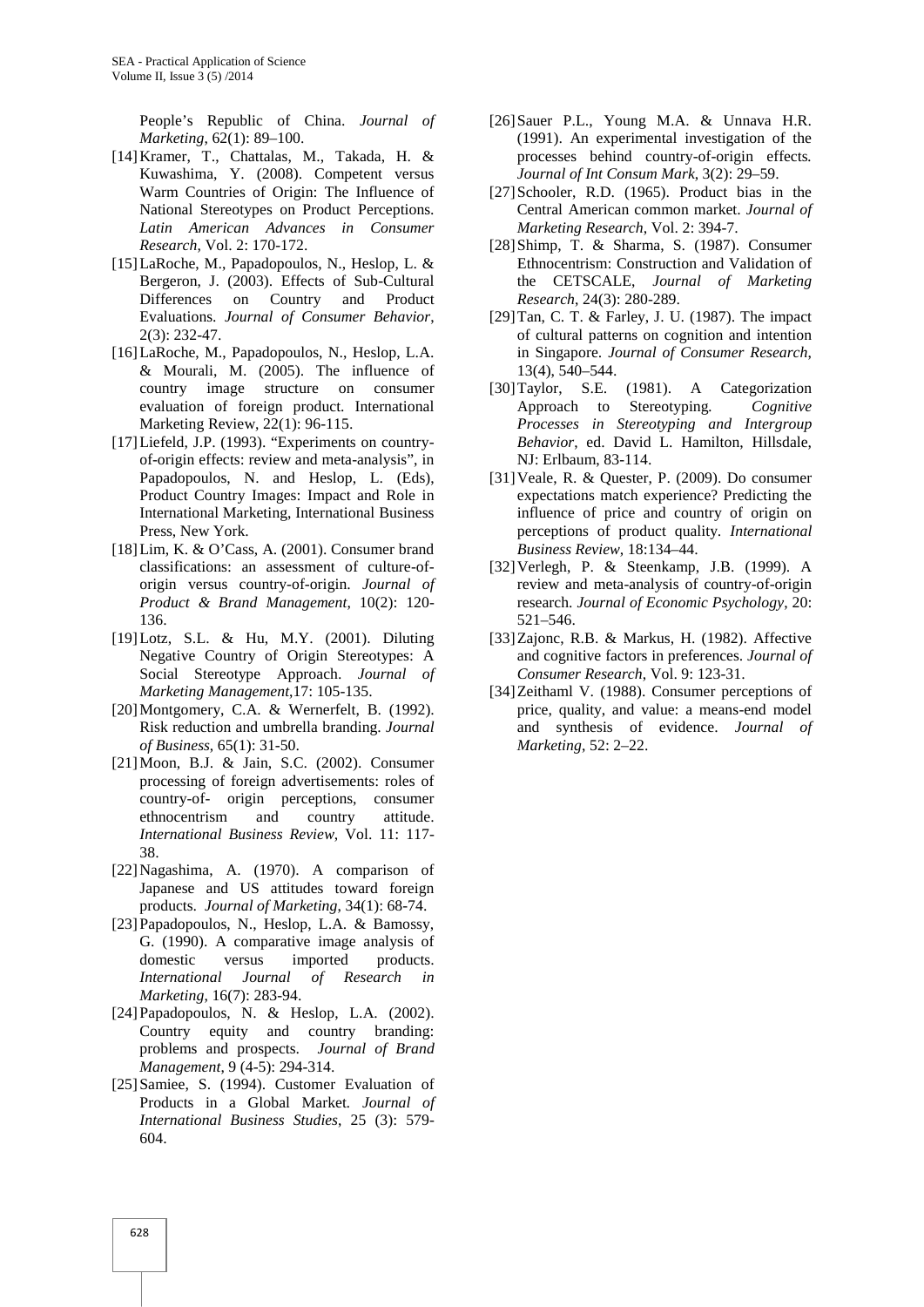People's Republic of China. *Journal of Marketing*, 62(1): 89–100.

- [14]Kramer, T., Chattalas, M., Takada, H. & Kuwashima, Y. (2008). Competent versus Warm Countries of Origin: The Influence of National Stereotypes on Product Perceptions. *Latin American Advances in Consumer Research*, Vol. 2: 170-172.
- [15]LaRoche, M., Papadopoulos, N., Heslop, L. & Bergeron, J. (2003). Effects of Sub-Cultural Differences on Country and Product Evaluations. *Journal of Consumer Behavior*, 2(3): 232-47.
- [16]LaRoche, M., Papadopoulos, N., Heslop, L.A. & Mourali, M. (2005). The influence of country image structure on consumer evaluation of foreign product. International Marketing Review, 22(1): 96-115.
- [17]Liefeld, J.P. (1993). "Experiments on country of-origin effects: review and meta-analysis", in Papadopoulos, N. and Heslop, L. (Eds), Product Country Images: Impact and Role in International Marketing, International Business Press, New York.
- [18]Lim, K. & O'Cass, A. (2001). Consumer brand classifications: an assessment of culture-of origin versus country-of-origin. *Journal of Product & Brand Management*, 10(2): 120- 136.
- [19]Lotz, S.L. & Hu, M.Y. (2001). Diluting Negative Country of Origin Stereotypes: A Social Stereotype Approach. *Journal of Marketing Management*,17: 105-135.
- [20] Montgomery, C.A. & Wernerfelt, B. (1992). Risk reduction and umbrella branding. *Journal of Business*, 65(1): 31-50.
- [21]Moon, B.J. & Jain, S.C. (2002). Consumer processing of foreign advertisements: roles of country-of- origin perceptions, consumer ethnocentrism and country attitude. *International Business Review*, Vol. 11: 117- 38.
- [22]Nagashima, A. (1970). A comparison of Japanese and US attitudes toward foreign products. *Journal of Marketing*, 34(1): 68-74.
- [23]Papadopoulos, N., Heslop, L.A. & Bamossy, G. (1990). A comparative image analysis of domestic versus imported products. *International Journal of Research in Marketing*, 16(7): 283-94.
- [24]Papadopoulos, N. & Heslop, L.A. (2002). Country equity and country branding: problems and prospects. *Journal of Brand Management*, 9 (4-5): 294-314.
- [25] Samiee, S. (1994). Customer Evaluation of Products in a Global Market*. Journal of International Business Studies*, 25 (3): 579- 604.
- [26]Sauer P.L., Young M.A. & Unnava H.R. (1991). An experimental investigation of the processes behind country-of-origin effects*. Journal of Int Consum Mark*, 3(2): 29–59.
- [27]Schooler, R.D. (1965). Product bias in the Central American common market. *Journal of Marketing Research*, Vol. 2: 394-7.
- [28]Shimp, T. & Sharma, S. (1987). Consumer Ethnocentrism: Construction and Validation of the CETSCALE, *Journal of Marketing Research*, 24(3): 280-289.
- [29]Tan, C. T. & Farley, J. U. (1987). The impact of cultural patterns on cognition and intention in Singapore. *Journal of Consumer Research*, 13(4), 540–544.
- [30]Taylor, S.E. (1981). A Categorization<br>Approach to Stereotyping. Cognitive Approach to Stereotyping*. Cognitive Processes in Stereotyping and Intergroup Behavior*, ed. David L. Hamilton, Hillsdale, NJ: Erlbaum, 83-114.
- [31]Veale, R. & Quester, P. (2009). Do consumer expectations match experience? Predicting the influence of price and country of origin on perceptions of product quality. *International Business Review*, 18:134–44.
- [32]Verlegh, P. & Steenkamp, J.B. (1999). A review and meta-analysis of country-of-origin research. *Journal of Economic Psychology*, 20: 521–546.
- [33]Zajonc, R.B. & Markus, H. (1982). Affective and cognitive factors in preferences. *Journal of Consumer Research*, Vol. 9: 123-31.
- [34]Zeithaml V. (1988). Consumer perceptions of price, quality, and value: a means-end model and synthesis of evidence. *Journal of Marketing*, 52: 2–22.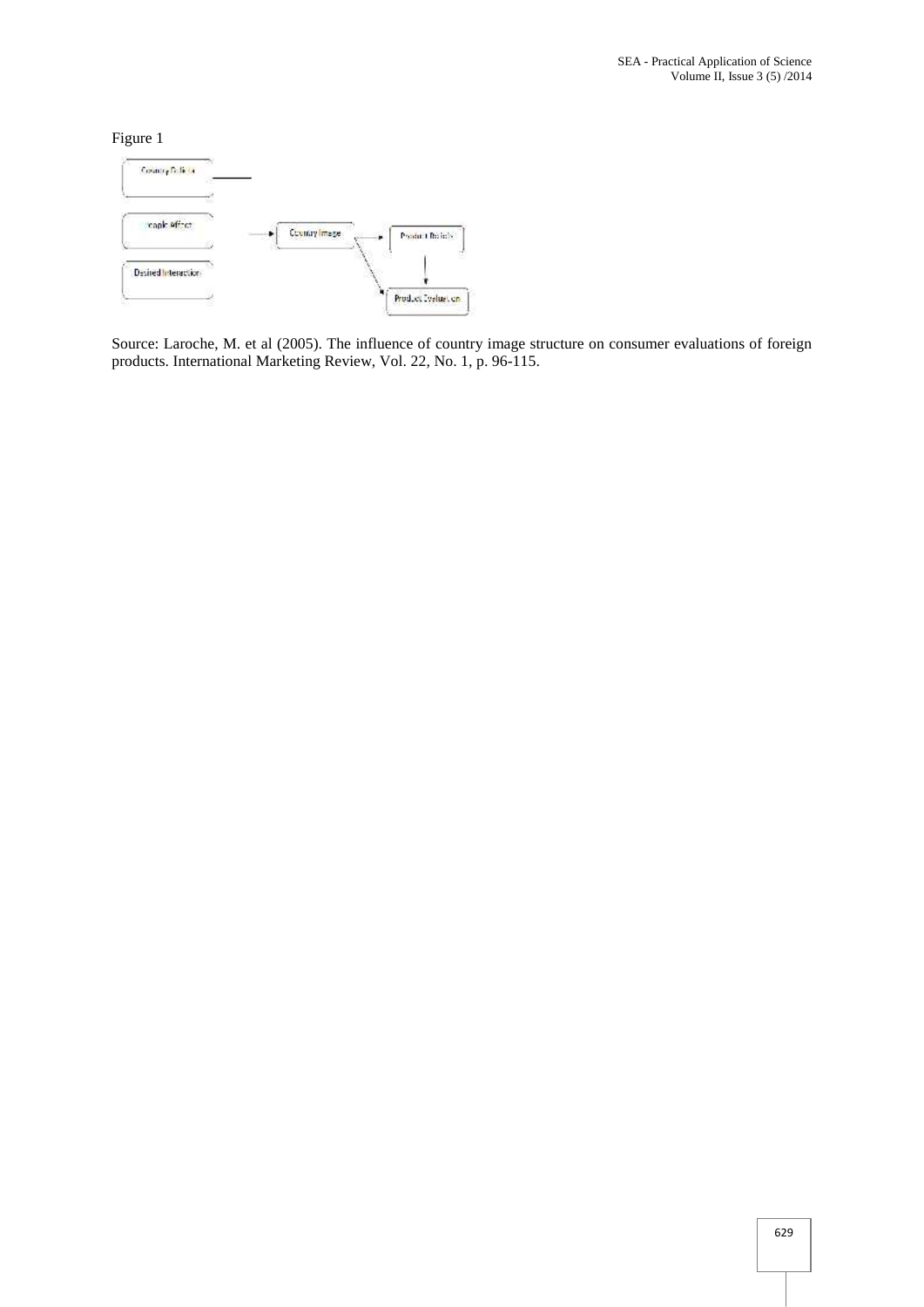Figure 1



Source: Laroche, M. et al (2005). The influence of country image structure on consumer evaluations of foreign products. International Marketing Review, Vol. 22, No. 1, p. 96-115.